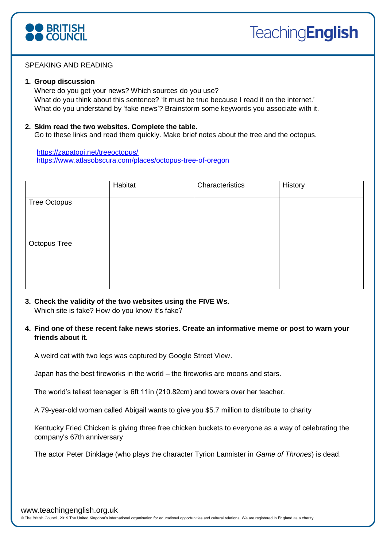

## SPEAKING AND READING

#### **1. Group discussion**

Where do you get your news? Which sources do you use? What do you think about this sentence? 'It must be true because I read it on the internet.' What do you understand by 'fake news'? Brainstorm some keywords you associate with it.

#### **2. Skim read the two websites. Complete the table.**

Go to these links and read them quickly. Make brief notes about the tree and the octopus.

<https://zapatopi.net/treeoctopus/> <https://www.atlasobscura.com/places/octopus-tree-of-oregon>

|                     | Habitat | Characteristics | History |
|---------------------|---------|-----------------|---------|
| <b>Tree Octopus</b> |         |                 |         |
|                     |         |                 |         |
| <b>Octopus Tree</b> |         |                 |         |
|                     |         |                 |         |
|                     |         |                 |         |

- **3. Check the validity of the two websites using the FIVE Ws.**  Which site is fake? How do you know it's fake?
- **4. Find one of these recent fake news stories. Create an informative meme or post to warn your friends about it.**

A weird cat with two legs was captured by Google Street View.

Japan has the best fireworks in the world – the fireworks are moons and stars.

The world's tallest teenager is 6ft 11in (210.82cm) and towers over her teacher.

A 79-year-old woman called Abigail wants to give you \$5.7 million to distribute to charity

Kentucky Fried Chicken is giving three free chicken buckets to everyone as a way of celebrating the company's 67th anniversary

The actor Peter Dinklage (who plays the character Tyrion Lannister in *Game of Thrones*) is dead.

© The British Council, 2019 The United Kingdom's international organisation for educational opportunities and cultural relations. We are registered in England as a charity.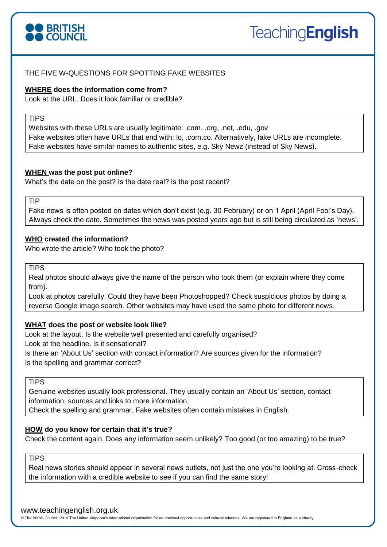

# THE FIVE W-QUESTIONS FOR SPOTTING FAKE WEBSITES

## **WHERE does the information come from?**

Look at the URL. Does it look familiar or credible?

# **TIPS**

Websites with these URLs are usually legitimate: .com, .org, .net, .edu, .gov Fake websites often have URLs that end with: lo, .com.co. Alternatively, fake URLs are incomplete. Fake websites have similar names to authentic sites, e.g. Sky Newz (instead of Sky News).

#### **WHEN was the post put online?**

What's the date on the post? Is the date real? Is the post recent?

TIP

Fake news is often posted on dates which don't exist (e.g. 30 February) or on 1 April (April Fool's Day). Always check the date. Sometimes the news was posted years ago but is still being circulated as 'news'.

## **WHO created the information?**

Who wrote the article? Who took the photo?

**TIPS** 

Real photos should always give the name of the person who took them (or explain where they come from).

Look at photos carefully. Could they have been Photoshopped? Check suspicious photos by doing a reverse Google image search. Other websites may have used the same photo for different news.

## **WHAT does the post or website look like?**

Look at the layout. Is the website well presented and carefully organised? Look at the headline. Is it sensational? Is there an 'About Us' section with contact information? Are sources given for the information? Is the spelling and grammar correct?

## **TIPS**

Genuine websites usually look professional. They usually contain an 'About Us' section, contact information, sources and links to more information.

Check the spelling and grammar. Fake websites often contain mistakes in English.

## **HOW do you know for certain that it's true?**

Check the content again. Does any information seem unlikely? Too good (or too amazing) to be true?

# **TIPS**

Real news stories should appear in several news outlets, not just the one you're looking at. Cross-check the information with a credible website to see if you can find the same story!

#### www.teachingenglish.org.uk

© The British Council, 2019 The United Kingdom's international organisation for educational opportunities and cultural relations. We are registered in England as a charity.